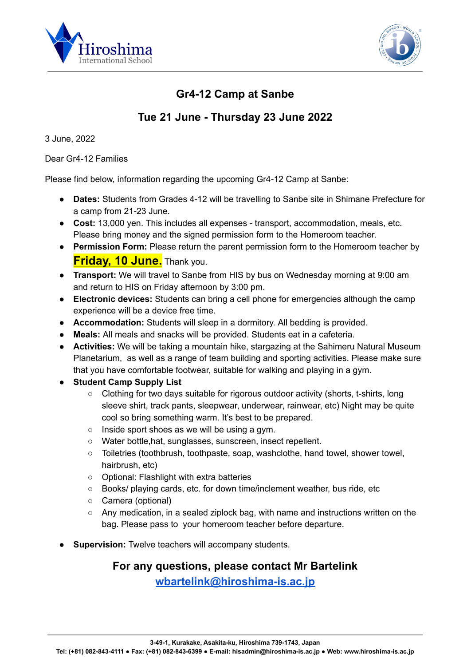



### **Gr4-12 Camp at Sanbe**

#### **Tue 21 June - Thursday 23 June 2022**

3 June, 2022

Dear Gr4-12 Families

Please find below, information regarding the upcoming Gr4-12 Camp at Sanbe:

- **Dates:** Students from Grades 4-12 will be travelling to Sanbe site in Shimane Prefecture for a camp from 21-23 June.
- **Cost:** 13,000 yen. This includes all expenses transport, accommodation, meals, etc. Please bring money and the signed permission form to the Homeroom teacher.
- **Permission Form:** Please return the parent permission form to the Homeroom teacher by **Friday, 10 June.** Thank you.
- **Transport:** We will travel to Sanbe from HIS by bus on Wednesday morning at 9:00 am and return to HIS on Friday afternoon by 3:00 pm.
- **Electronic devices:** Students can bring a cell phone for emergencies although the camp experience will be a device free time.
- **Accommodation:** Students will sleep in a dormitory. All bedding is provided.
- **Meals:** All meals and snacks will be provided. Students eat in a cafeteria.
- **Activities:** We will be taking a mountain hike, stargazing at the Sahimeru Natural Museum Planetarium, as well as a range of team building and sporting activities. Please make sure that you have comfortable footwear, suitable for walking and playing in a gym.
- **Student Camp Supply List**
	- Clothing for two days suitable for rigorous outdoor activity (shorts, t-shirts, long sleeve shirt, track pants, sleepwear, underwear, rainwear, etc) Night may be quite cool so bring something warm. It's best to be prepared.
	- Inside sport shoes as we will be using a gym.
	- Water bottle,hat, sunglasses, sunscreen, insect repellent.
	- Toiletries (toothbrush, toothpaste, soap, washclothe, hand towel, shower towel, hairbrush, etc)
	- Optional: Flashlight with extra batteries
	- Books/ playing cards, etc. for down time/inclement weather, bus ride, etc
	- Camera (optional)
	- $\circ$  Any medication, in a sealed ziplock bag, with name and instructions written on the bag. Please pass to your homeroom teacher before departure.
- **Supervision:** Twelve teachers will accompany students.

# **For any questions, please contact Mr Bartelink**

**[wbartelink@hiroshima-is.ac.jp](mailto:wbartelink@hiroshima-is.ac.jp)**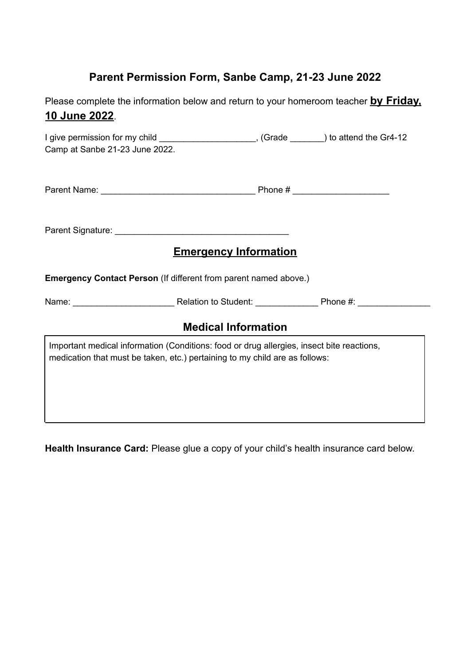### **Parent Permission Form, Sanbe Camp, 21-23 June 2022**

Please complete the information below and return to your homeroom teacher **by Friday, 10 June 2022**.

| I give permission for my child ________________________, (Grade _______) to attend the Gr4-12<br>Camp at Sanbe 21-23 June 2022.                                          |  |
|--------------------------------------------------------------------------------------------------------------------------------------------------------------------------|--|
|                                                                                                                                                                          |  |
|                                                                                                                                                                          |  |
| <b>Emergency Information</b>                                                                                                                                             |  |
| <b>Emergency Contact Person</b> (If different from parent named above.)                                                                                                  |  |
|                                                                                                                                                                          |  |
| <b>Medical Information</b>                                                                                                                                               |  |
| Important medical information (Conditions: food or drug allergies, insect bite reactions,<br>medication that must be taken, etc.) pertaining to my child are as follows: |  |

**Health Insurance Card:** Please glue a copy of your child's health insurance card below.